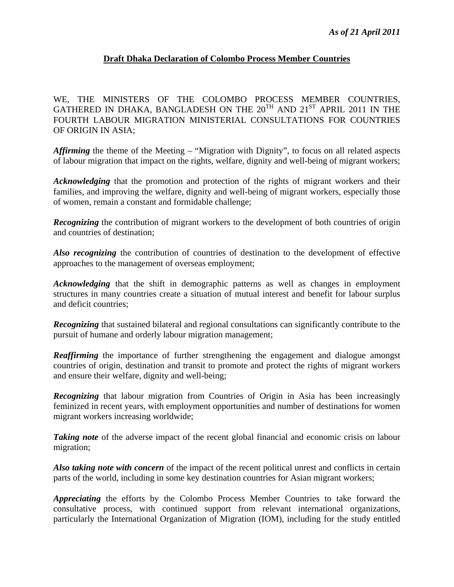## **Draft Dhaka Declaration of Colombo Process Member Countries**

WE, THE MINISTERS OF THE COLOMBO PROCESS MEMBER COUNTRIES, GATHERED IN DHAKA, BANGLADESH ON THE  $20^{TH}$  AND  $21^{ST}$  APRIL 2011 IN THE FOURTH LABOUR MIGRATION MINISTERIAL CONSULTATIONS FOR COUNTRIES OF ORIGIN IN ASIA;

*Affirming* the theme of the Meeting – "Migration with Dignity", to focus on all related aspects of labour migration that impact on the rights, welfare, dignity and well-being of migrant workers;

*Acknowledging* that the promotion and protection of the rights of migrant workers and their families, and improving the welfare, dignity and well-being of migrant workers, especially those of women, remain a constant and formidable challenge;

*Recognizing* the contribution of migrant workers to the development of both countries of origin and countries of destination;

*Also recognizing* the contribution of countries of destination to the development of effective approaches to the management of overseas employment;

*Acknowledging* that the shift in demographic patterns as well as changes in employment structures in many countries create a situation of mutual interest and benefit for labour surplus and deficit countries;

*Recognizing* that sustained bilateral and regional consultations can significantly contribute to the pursuit of humane and orderly labour migration management;

**Reaffirming** the importance of further strengthening the engagement and dialogue amongst countries of origin, destination and transit to promote and protect the rights of migrant workers and ensure their welfare, dignity and well-being;

*Recognizing* that labour migration from Countries of Origin in Asia has been increasingly feminized in recent years, with employment opportunities and number of destinations for women migrant workers increasing worldwide;

**Taking note** of the adverse impact of the recent global financial and economic crisis on labour migration;

*Also taking note with concern* of the impact of the recent political unrest and conflicts in certain parts of the world, including in some key destination countries for Asian migrant workers;

*Appreciating* the efforts by the Colombo Process Member Countries to take forward the consultative process, with continued support from relevant international organizations, particularly the International Organization of Migration (IOM), including for the study entitled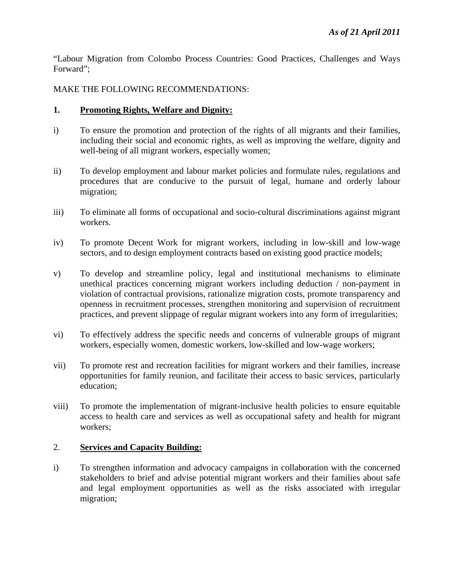"Labour Migration from Colombo Process Countries: Good Practices, Challenges and Ways Forward";

MAKE THE FOLLOWING RECOMMENDATIONS:

## **1. Promoting Rights, Welfare and Dignity:**

- i) To ensure the promotion and protection of the rights of all migrants and their families, including their social and economic rights, as well as improving the welfare, dignity and well-being of all migrant workers, especially women;
- ii) To develop employment and labour market policies and formulate rules, regulations and procedures that are conducive to the pursuit of legal, humane and orderly labour migration;
- iii) To eliminate all forms of occupational and socio-cultural discriminations against migrant workers.
- iv) To promote Decent Work for migrant workers, including in low-skill and low-wage sectors, and to design employment contracts based on existing good practice models;
- v) To develop and streamline policy, legal and institutional mechanisms to eliminate unethical practices concerning migrant workers including deduction / non-payment in violation of contractual provisions, rationalize migration costs, promote transparency and openness in recruitment processes, strengthen monitoring and supervision of recruitment practices, and prevent slippage of regular migrant workers into any form of irregularities;
- vi) To effectively address the specific needs and concerns of vulnerable groups of migrant workers, especially women, domestic workers, low-skilled and low-wage workers;
- vii) To promote rest and recreation facilities for migrant workers and their families, increase opportunities for family reunion, and facilitate their access to basic services, particularly education;
- viii) To promote the implementation of migrant-inclusive health policies to ensure equitable access to health care and services as well as occupational safety and health for migrant workers;

# 2. **Services and Capacity Building:**

i) To strengthen information and advocacy campaigns in collaboration with the concerned stakeholders to brief and advise potential migrant workers and their families about safe and legal employment opportunities as well as the risks associated with irregular migration;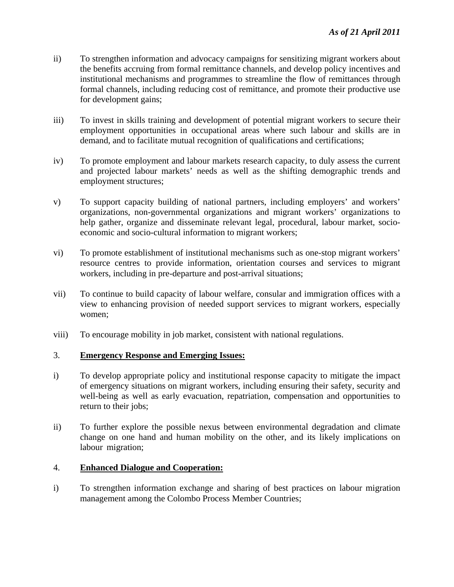- ii) To strengthen information and advocacy campaigns for sensitizing migrant workers about the benefits accruing from formal remittance channels, and develop policy incentives and institutional mechanisms and programmes to streamline the flow of remittances through formal channels, including reducing cost of remittance, and promote their productive use for development gains;
- iii) To invest in skills training and development of potential migrant workers to secure their employment opportunities in occupational areas where such labour and skills are in demand, and to facilitate mutual recognition of qualifications and certifications;
- iv) To promote employment and labour markets research capacity, to duly assess the current and projected labour markets' needs as well as the shifting demographic trends and employment structures;
- v) To support capacity building of national partners, including employers' and workers' organizations, non-governmental organizations and migrant workers' organizations to help gather, organize and disseminate relevant legal, procedural, labour market, socioeconomic and socio-cultural information to migrant workers;
- vi) To promote establishment of institutional mechanisms such as one-stop migrant workers' resource centres to provide information, orientation courses and services to migrant workers, including in pre-departure and post-arrival situations;
- vii) To continue to build capacity of labour welfare, consular and immigration offices with a view to enhancing provision of needed support services to migrant workers, especially women;
- viii) To encourage mobility in job market, consistent with national regulations.

### 3. **Emergency Response and Emerging Issues:**

- i) To develop appropriate policy and institutional response capacity to mitigate the impact of emergency situations on migrant workers, including ensuring their safety, security and well-being as well as early evacuation, repatriation, compensation and opportunities to return to their jobs;
- ii) To further explore the possible nexus between environmental degradation and climate change on one hand and human mobility on the other, and its likely implications on labour migration;

### 4. **Enhanced Dialogue and Cooperation:**

i) To strengthen information exchange and sharing of best practices on labour migration management among the Colombo Process Member Countries;